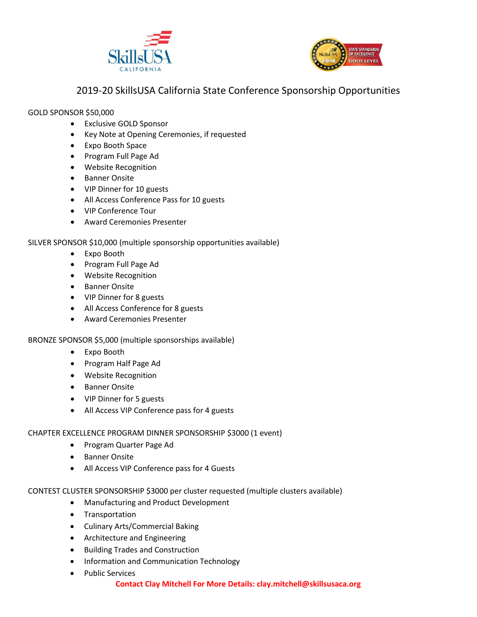



# 2019-20 SkillsUSA California State Conference Sponsorship Opportunities

## GOLD SPONSOR \$50,000

- Exclusive GOLD Sponsor
- Key Note at Opening Ceremonies, if requested
- Expo Booth Space
- Program Full Page Ad
- Website Recognition
- Banner Onsite
- VIP Dinner for 10 guests
- All Access Conference Pass for 10 guests
- VIP Conference Tour
- Award Ceremonies Presenter

# SILVER SPONSOR \$10,000 (multiple sponsorship opportunities available)

- Expo Booth
- Program Full Page Ad
- Website Recognition
- Banner Onsite
- VIP Dinner for 8 guests
- All Access Conference for 8 guests
- Award Ceremonies Presenter

# BRONZE SPONSOR \$5,000 (multiple sponsorships available)

- Expo Booth
- Program Half Page Ad
- Website Recognition
- Banner Onsite
- VIP Dinner for 5 guests
- All Access VIP Conference pass for 4 guests

# CHAPTER EXCELLENCE PROGRAM DINNER SPONSORSHIP \$3000 (1 event)

- Program Quarter Page Ad
- Banner Onsite
- All Access VIP Conference pass for 4 Guests

# CONTEST CLUSTER SPONSORSHIP \$3000 per cluster requested (multiple clusters available)

- Manufacturing and Product Development
- Transportation
- Culinary Arts/Commercial Baking
- Architecture and Engineering
- Building Trades and Construction
- Information and Communication Technology
- Public Services

## **Contact Clay Mitchell For More Details: clay.mitchell@skillsusaca.org**